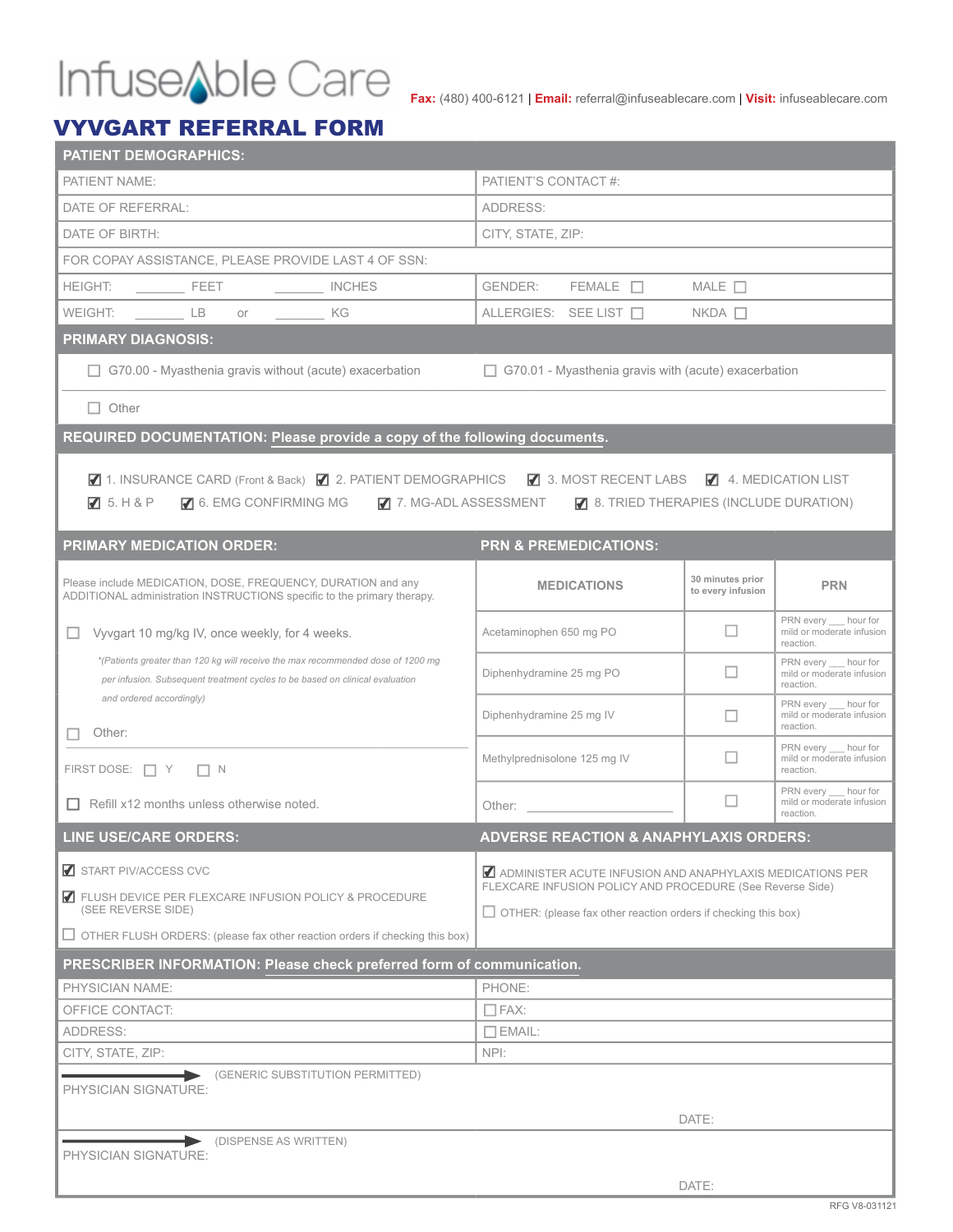# **Fax:** (480) 400-6121 | **Email:** referral@infuseablecare.com | **Visit:** infuseablecare.com

### VYVGART REFERRAL FORM

|                                                                                    | <b>PATIENT DEMOGRAPHICS:</b>                                                                                                                                    |                                                                                                         |                                                                                                                                                                                                                                |                                                                                                                              |                                       |                                                                 |  |  |
|------------------------------------------------------------------------------------|-----------------------------------------------------------------------------------------------------------------------------------------------------------------|---------------------------------------------------------------------------------------------------------|--------------------------------------------------------------------------------------------------------------------------------------------------------------------------------------------------------------------------------|------------------------------------------------------------------------------------------------------------------------------|---------------------------------------|-----------------------------------------------------------------|--|--|
| PATIENT NAME:                                                                      |                                                                                                                                                                 |                                                                                                         | PATIENT'S CONTACT #:                                                                                                                                                                                                           |                                                                                                                              |                                       |                                                                 |  |  |
| DATE OF REFERRAL:                                                                  |                                                                                                                                                                 |                                                                                                         | ADDRESS:                                                                                                                                                                                                                       |                                                                                                                              |                                       |                                                                 |  |  |
| DATE OF BIRTH:                                                                     |                                                                                                                                                                 |                                                                                                         | CITY, STATE, ZIP:                                                                                                                                                                                                              |                                                                                                                              |                                       |                                                                 |  |  |
|                                                                                    | FOR COPAY ASSISTANCE, PLEASE PROVIDE LAST 4 OF SSN:                                                                                                             |                                                                                                         |                                                                                                                                                                                                                                |                                                                                                                              |                                       |                                                                 |  |  |
| <b>HEIGHT:</b>                                                                     | $\frac{1}{2}$ FEET                                                                                                                                              | INCHES                                                                                                  | <b>GENDER:</b>                                                                                                                                                                                                                 | $FEMALE$ $\Box$                                                                                                              | MALE $\Box$                           |                                                                 |  |  |
| WEIGHT:                                                                            | LB LB<br>or or                                                                                                                                                  | KG                                                                                                      |                                                                                                                                                                                                                                | ALLERGIES: SEE LIST □                                                                                                        | $NKDA$ $\Box$                         |                                                                 |  |  |
| <b>PRIMARY DIAGNOSIS:</b>                                                          |                                                                                                                                                                 |                                                                                                         |                                                                                                                                                                                                                                |                                                                                                                              |                                       |                                                                 |  |  |
|                                                                                    |                                                                                                                                                                 | $\Box$ G70.00 - Myasthenia gravis without (acute) exacerbation                                          | $\Box$ G70.01 - Myasthenia gravis with (acute) exacerbation                                                                                                                                                                    |                                                                                                                              |                                       |                                                                 |  |  |
| $\Box$ Other                                                                       |                                                                                                                                                                 |                                                                                                         |                                                                                                                                                                                                                                |                                                                                                                              |                                       |                                                                 |  |  |
|                                                                                    |                                                                                                                                                                 | REQUIRED DOCUMENTATION: Please provide a copy of the following documents.                               |                                                                                                                                                                                                                                |                                                                                                                              |                                       |                                                                 |  |  |
| $\sqrt{5}$ . H & P                                                                 | 6. EMG CONFIRMING MG<br><b>PRIMARY MEDICATION ORDER:</b>                                                                                                        | ■ 1. INSURANCE CARD (Front & Back) ■ 2. PATIENT DEMOGRAPHICS ■ 3. MOST RECENT LABS ■ 4. MEDICATION LIST |                                                                                                                                                                                                                                | $\blacksquare$ 7. MG-ADL ASSESSMENT $\blacksquare$ 8. TRIED THERAPIES (INCLUDE DURATION)<br><b>PRN &amp; PREMEDICATIONS:</b> |                                       |                                                                 |  |  |
|                                                                                    | Please include MEDICATION, DOSE, FREQUENCY, DURATION and any                                                                                                    | ADDITIONAL administration INSTRUCTIONS specific to the primary therapy.                                 |                                                                                                                                                                                                                                | <b>MEDICATIONS</b>                                                                                                           | 30 minutes prior<br>to every infusion | <b>PRN</b>                                                      |  |  |
|                                                                                    | Vyvgart 10 mg/kg IV, once weekly, for 4 weeks.                                                                                                                  |                                                                                                         | Acetaminophen 650 mg PO                                                                                                                                                                                                        |                                                                                                                              | □                                     | PRN every hour for<br>mild or moderate infusion<br>reaction.    |  |  |
|                                                                                    | *(Patients greater than 120 kg will receive the max recommended dose of 1200 mg<br>per infusion. Subsequent treatment cycles to be based on clinical evaluation |                                                                                                         |                                                                                                                                                                                                                                | Diphenhydramine 25 mg PO                                                                                                     | ш                                     | PRN every hour for<br>mild or moderate infusion<br>reaction.    |  |  |
| Other:                                                                             | and ordered accordingly)                                                                                                                                        |                                                                                                         | Diphenhydramine 25 mg IV                                                                                                                                                                                                       |                                                                                                                              | П                                     | PRN every hour for<br>mild or moderate infusion<br>reaction.    |  |  |
| FIRST DOSE: $\Box Y$ $\Box N$                                                      |                                                                                                                                                                 |                                                                                                         | Methylprednisolone 125 mg IV                                                                                                                                                                                                   |                                                                                                                              | $\Box$                                | PRN every __ hour for<br>mild or moderate infusion<br>reaction. |  |  |
|                                                                                    | $\Box$ Refill x12 months unless otherwise noted.                                                                                                                |                                                                                                         | Other: the contract of the contract of the contract of the contract of the contract of the contract of the contract of the contract of the contract of the contract of the contract of the contract of the contract of the con |                                                                                                                              | □                                     | PRN every __ hour for<br>mild or moderate infusion<br>reaction. |  |  |
|                                                                                    | LINE USE/CARE ORDERS:                                                                                                                                           |                                                                                                         |                                                                                                                                                                                                                                | <b>ADVERSE REACTION &amp; ANAPHYLAXIS ORDERS:</b>                                                                            |                                       |                                                                 |  |  |
| START PIV/ACCESS CVC                                                               |                                                                                                                                                                 |                                                                                                         | ADMINISTER ACUTE INFUSION AND ANAPHYLAXIS MEDICATIONS PER<br>FLEXCARE INFUSION POLICY AND PROCEDURE (See Reverse Side)                                                                                                         |                                                                                                                              |                                       |                                                                 |  |  |
| FLUSH DEVICE PER FLEXCARE INFUSION POLICY & PROCEDURE<br>(SEE REVERSE SIDE)        |                                                                                                                                                                 |                                                                                                         | $\Box$ OTHER: (please fax other reaction orders if checking this box)                                                                                                                                                          |                                                                                                                              |                                       |                                                                 |  |  |
| $\Box$ OTHER FLUSH ORDERS: (please fax other reaction orders if checking this box) |                                                                                                                                                                 |                                                                                                         |                                                                                                                                                                                                                                |                                                                                                                              |                                       |                                                                 |  |  |
|                                                                                    |                                                                                                                                                                 | PRESCRIBER INFORMATION: Please check preferred form of communication.                                   |                                                                                                                                                                                                                                |                                                                                                                              |                                       |                                                                 |  |  |
| <b>PHYSICIAN NAME:</b>                                                             |                                                                                                                                                                 |                                                                                                         | PHONE:                                                                                                                                                                                                                         |                                                                                                                              |                                       |                                                                 |  |  |
| OFFICE CONTACT:                                                                    |                                                                                                                                                                 | $\Box$ FAX:                                                                                             |                                                                                                                                                                                                                                |                                                                                                                              |                                       |                                                                 |  |  |
| ADDRESS:                                                                           |                                                                                                                                                                 |                                                                                                         | $\Box$ EMAIL:                                                                                                                                                                                                                  |                                                                                                                              |                                       |                                                                 |  |  |
| CITY, STATE, ZIP:                                                                  |                                                                                                                                                                 |                                                                                                         | NPI:                                                                                                                                                                                                                           |                                                                                                                              |                                       |                                                                 |  |  |
| PHYSICIAN SIGNATURE:                                                               |                                                                                                                                                                 | (GENERIC SUBSTITUTION PERMITTED)                                                                        |                                                                                                                                                                                                                                |                                                                                                                              |                                       |                                                                 |  |  |
|                                                                                    | DATE:                                                                                                                                                           |                                                                                                         |                                                                                                                                                                                                                                |                                                                                                                              |                                       |                                                                 |  |  |
|                                                                                    | (DISPENSE AS WRITTEN)                                                                                                                                           |                                                                                                         |                                                                                                                                                                                                                                |                                                                                                                              |                                       |                                                                 |  |  |
| PHYSICIAN SIGNATURE:                                                               |                                                                                                                                                                 |                                                                                                         |                                                                                                                                                                                                                                |                                                                                                                              |                                       |                                                                 |  |  |
|                                                                                    |                                                                                                                                                                 |                                                                                                         |                                                                                                                                                                                                                                |                                                                                                                              | DATE:                                 |                                                                 |  |  |
|                                                                                    |                                                                                                                                                                 |                                                                                                         |                                                                                                                                                                                                                                |                                                                                                                              |                                       |                                                                 |  |  |